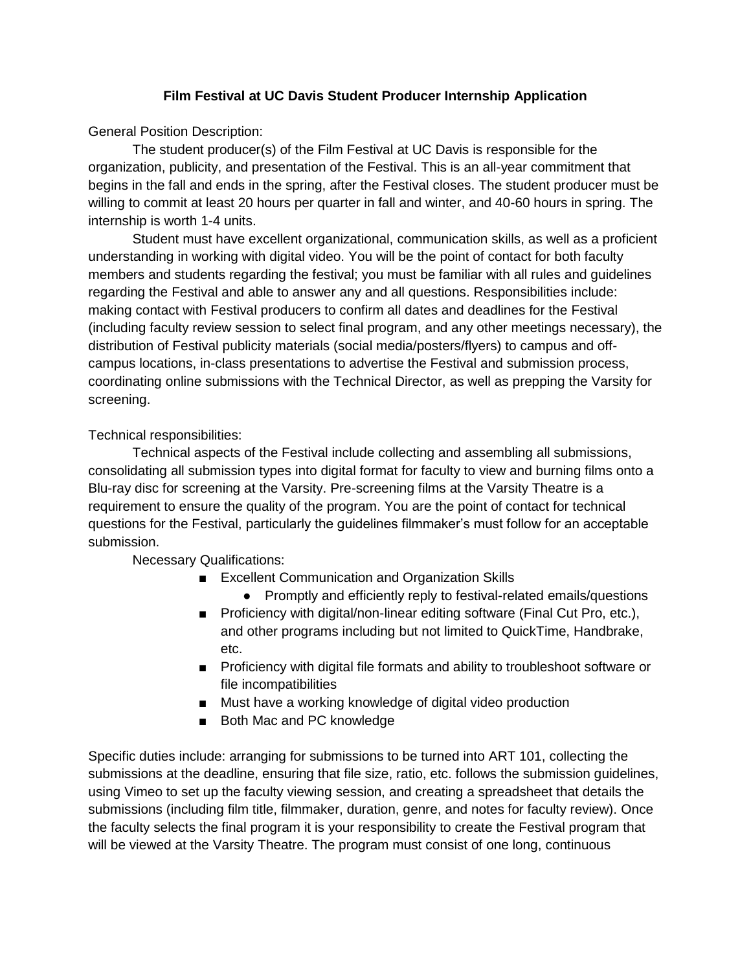## **Film Festival at UC Davis Student Producer Internship Application**

General Position Description:

The student producer(s) of the Film Festival at UC Davis is responsible for the organization, publicity, and presentation of the Festival. This is an all-year commitment that begins in the fall and ends in the spring, after the Festival closes. The student producer must be willing to commit at least 20 hours per quarter in fall and winter, and 40-60 hours in spring. The internship is worth 1-4 units.

Student must have excellent organizational, communication skills, as well as a proficient understanding in working with digital video. You will be the point of contact for both faculty members and students regarding the festival; you must be familiar with all rules and guidelines regarding the Festival and able to answer any and all questions. Responsibilities include: making contact with Festival producers to confirm all dates and deadlines for the Festival (including faculty review session to select final program, and any other meetings necessary), the distribution of Festival publicity materials (social media/posters/flyers) to campus and offcampus locations, in-class presentations to advertise the Festival and submission process, coordinating online submissions with the Technical Director, as well as prepping the Varsity for screening.

Technical responsibilities:

Technical aspects of the Festival include collecting and assembling all submissions, consolidating all submission types into digital format for faculty to view and burning films onto a Blu-ray disc for screening at the Varsity. Pre-screening films at the Varsity Theatre is a requirement to ensure the quality of the program. You are the point of contact for technical questions for the Festival, particularly the guidelines filmmaker's must follow for an acceptable submission.

Necessary Qualifications:

- Excellent Communication and Organization Skills
	- Promptly and efficiently reply to festival-related emails/questions
- Proficiency with digital/non-linear editing software (Final Cut Pro, etc.), and other programs including but not limited to QuickTime, Handbrake, etc.
- Proficiency with digital file formats and ability to troubleshoot software or file incompatibilities
- Must have a working knowledge of digital video production
- Both Mac and PC knowledge

Specific duties include: arranging for submissions to be turned into ART 101, collecting the submissions at the deadline, ensuring that file size, ratio, etc. follows the submission guidelines, using Vimeo to set up the faculty viewing session, and creating a spreadsheet that details the submissions (including film title, filmmaker, duration, genre, and notes for faculty review). Once the faculty selects the final program it is your responsibility to create the Festival program that will be viewed at the Varsity Theatre. The program must consist of one long, continuous